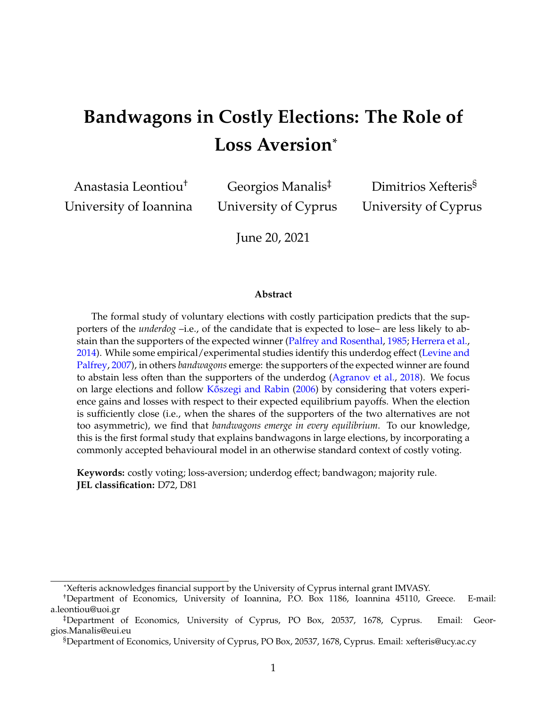# **Bandwagons in Costly Elections: The Role of Loss Aversion**\*

Anastasia Leontiou† University of Ioannina

Georgios Manalis‡ University of Cyprus

Dimitrios Xefteris§ University of Cyprus

June 20, 2021

#### **Abstract**

The formal study of voluntary elections with costly participation predicts that the supporters of the *underdog* –i.e., of the candidate that is expected to lose– are less likely to abstain than the supporters of the expected winner [\(Palfrey and Rosenthal,](#page-25-0) [1985;](#page-25-0) [Herrera et al.,](#page-23-0) [2014\)](#page-23-0). While some empirical/experimental studies identify this underdog effect [\(Levine and](#page-24-0) [Palfrey,](#page-24-0) [2007\)](#page-24-0), in others *bandwagons* emerge: the supporters of the expected winner are found to abstain less often than the supporters of the underdog [\(Agranov et al.,](#page-22-0) [2018\)](#page-22-0). We focus on large elections and follow [K˝oszegi and Rabin](#page-24-1) [\(2006\)](#page-24-1) by considering that voters experience gains and losses with respect to their expected equilibrium payoffs. When the election is sufficiently close (i.e., when the shares of the supporters of the two alternatives are not too asymmetric), we find that *bandwagons emerge in every equilibrium*. To our knowledge, this is the first formal study that explains bandwagons in large elections, by incorporating a commonly accepted behavioural model in an otherwise standard context of costly voting.

**Keywords:** costly voting; loss-aversion; underdog effect; bandwagon; majority rule. **JEL classification:** D72, D81

<sup>\*</sup>Xefteris acknowledges financial support by the University of Cyprus internal grant IMVASY.

<sup>†</sup>Department of Economics, University of Ioannina, P.O. Box 1186, Ioannina 45110, Greece. E-mail: a.leontiou@uoi.gr

<sup>‡</sup>Department of Economics, University of Cyprus, PO Box, 20537, 1678, Cyprus. Email: Georgios.Manalis@eui.eu

<sup>§</sup>Department of Economics, University of Cyprus, PO Box, 20537, 1678, Cyprus. Email: xefteris@ucy.ac.cy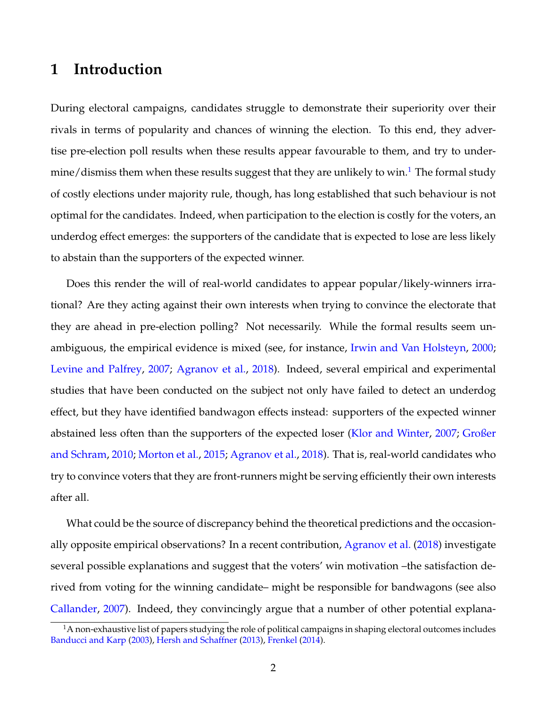# **1 Introduction**

During electoral campaigns, candidates struggle to demonstrate their superiority over their rivals in terms of popularity and chances of winning the election. To this end, they advertise pre-election poll results when these results appear favourable to them, and try to under-mine/dismiss them when these results suggest that they are unlikely to win.<sup>[1](#page-1-0)</sup> The formal study of costly elections under majority rule, though, has long established that such behaviour is not optimal for the candidates. Indeed, when participation to the election is costly for the voters, an underdog effect emerges: the supporters of the candidate that is expected to lose are less likely to abstain than the supporters of the expected winner.

Does this render the will of real-world candidates to appear popular/likely-winners irrational? Are they acting against their own interests when trying to convince the electorate that they are ahead in pre-election polling? Not necessarily. While the formal results seem unambiguous, the empirical evidence is mixed (see, for instance, [Irwin and Van Holsteyn,](#page-24-2) [2000;](#page-24-2) [Levine and Palfrey,](#page-24-0) [2007;](#page-24-0) [Agranov et al.,](#page-22-0) [2018\)](#page-22-0). Indeed, several empirical and experimental studies that have been conducted on the subject not only have failed to detect an underdog effect, but they have identified bandwagon effects instead: supporters of the expected winner abstained less often than the supporters of the expected loser [\(Klor and Winter,](#page-24-3) [2007;](#page-24-3) [Großer](#page-23-1) [and Schram,](#page-23-1) [2010;](#page-23-1) [Morton et al.,](#page-25-1) [2015;](#page-25-1) [Agranov et al.,](#page-22-0) [2018\)](#page-22-0). That is, real-world candidates who try to convince voters that they are front-runners might be serving efficiently their own interests after all.

What could be the source of discrepancy behind the theoretical predictions and the occasionally opposite empirical observations? In a recent contribution, [Agranov et al.](#page-22-0) [\(2018\)](#page-22-0) investigate several possible explanations and suggest that the voters' win motivation –the satisfaction derived from voting for the winning candidate– might be responsible for bandwagons (see also [Callander,](#page-22-1) [2007\)](#page-22-1). Indeed, they convincingly argue that a number of other potential explana-

<span id="page-1-0"></span> $1A$  non-exhaustive list of papers studying the role of political campaigns in shaping electoral outcomes includes [Banducci and Karp](#page-22-2) [\(2003\)](#page-22-2), [Hersh and Schaffner](#page-24-4) [\(2013\)](#page-24-4), [Frenkel](#page-23-2) [\(2014\)](#page-23-2).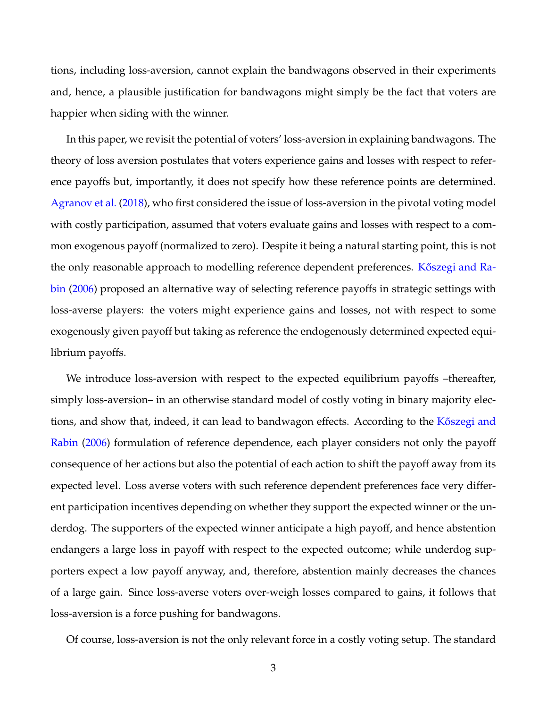tions, including loss-aversion, cannot explain the bandwagons observed in their experiments and, hence, a plausible justification for bandwagons might simply be the fact that voters are happier when siding with the winner.

In this paper, we revisit the potential of voters' loss-aversion in explaining bandwagons. The theory of loss aversion postulates that voters experience gains and losses with respect to reference payoffs but, importantly, it does not specify how these reference points are determined. [Agranov et al.](#page-22-0) [\(2018\)](#page-22-0), who first considered the issue of loss-aversion in the pivotal voting model with costly participation, assumed that voters evaluate gains and losses with respect to a common exogenous payoff (normalized to zero). Despite it being a natural starting point, this is not the only reasonable approach to modelling reference dependent preferences. Kőszegi and Ra[bin](#page-24-1) [\(2006\)](#page-24-1) proposed an alternative way of selecting reference payoffs in strategic settings with loss-averse players: the voters might experience gains and losses, not with respect to some exogenously given payoff but taking as reference the endogenously determined expected equilibrium payoffs.

We introduce loss-aversion with respect to the expected equilibrium payoffs –thereafter, simply loss-aversion– in an otherwise standard model of costly voting in binary majority elections, and show that, indeed, it can lead to bandwagon effects. According to the K<sup>oszegi</sup> and [Rabin](#page-24-1) [\(2006\)](#page-24-1) formulation of reference dependence, each player considers not only the payoff consequence of her actions but also the potential of each action to shift the payoff away from its expected level. Loss averse voters with such reference dependent preferences face very different participation incentives depending on whether they support the expected winner or the underdog. The supporters of the expected winner anticipate a high payoff, and hence abstention endangers a large loss in payoff with respect to the expected outcome; while underdog supporters expect a low payoff anyway, and, therefore, abstention mainly decreases the chances of a large gain. Since loss-averse voters over-weigh losses compared to gains, it follows that loss-aversion is a force pushing for bandwagons.

Of course, loss-aversion is not the only relevant force in a costly voting setup. The standard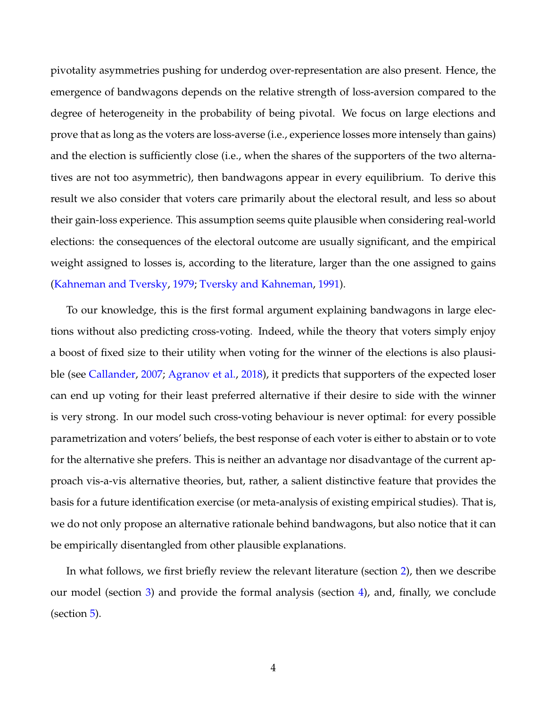pivotality asymmetries pushing for underdog over-representation are also present. Hence, the emergence of bandwagons depends on the relative strength of loss-aversion compared to the degree of heterogeneity in the probability of being pivotal. We focus on large elections and prove that as long as the voters are loss-averse (i.e., experience losses more intensely than gains) and the election is sufficiently close (i.e., when the shares of the supporters of the two alternatives are not too asymmetric), then bandwagons appear in every equilibrium. To derive this result we also consider that voters care primarily about the electoral result, and less so about their gain-loss experience. This assumption seems quite plausible when considering real-world elections: the consequences of the electoral outcome are usually significant, and the empirical weight assigned to losses is, according to the literature, larger than the one assigned to gains [\(Kahneman and Tversky,](#page-24-5) [1979;](#page-24-5) [Tversky and Kahneman,](#page-25-2) [1991\)](#page-25-2).

To our knowledge, this is the first formal argument explaining bandwagons in large elections without also predicting cross-voting. Indeed, while the theory that voters simply enjoy a boost of fixed size to their utility when voting for the winner of the elections is also plausible (see [Callander,](#page-22-1) [2007;](#page-22-1) [Agranov et al.,](#page-22-0) [2018\)](#page-22-0), it predicts that supporters of the expected loser can end up voting for their least preferred alternative if their desire to side with the winner is very strong. In our model such cross-voting behaviour is never optimal: for every possible parametrization and voters' beliefs, the best response of each voter is either to abstain or to vote for the alternative she prefers. This is neither an advantage nor disadvantage of the current approach vis-a-vis alternative theories, but, rather, a salient distinctive feature that provides the basis for a future identification exercise (or meta-analysis of existing empirical studies). That is, we do not only propose an alternative rationale behind bandwagons, but also notice that it can be empirically disentangled from other plausible explanations.

In what follows, we first briefly review the relevant literature (section [2\)](#page-4-0), then we describe our model (section [3\)](#page-6-0) and provide the formal analysis (section [4\)](#page-8-0), and, finally, we conclude (section [5\)](#page-20-0).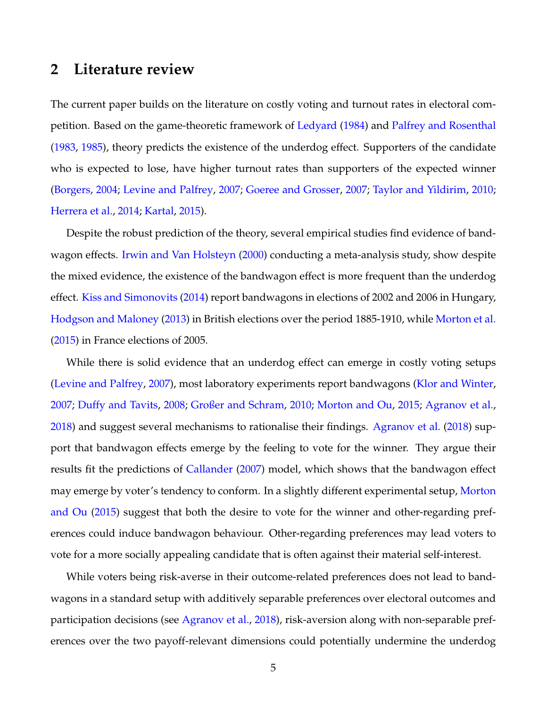### <span id="page-4-0"></span>**2 Literature review**

The current paper builds on the literature on costly voting and turnout rates in electoral competition. Based on the game-theoretic framework of [Ledyard](#page-24-6) [\(1984\)](#page-24-6) and [Palfrey and Rosenthal](#page-25-3) [\(1983,](#page-25-3) [1985\)](#page-25-0), theory predicts the existence of the underdog effect. Supporters of the candidate who is expected to lose, have higher turnout rates than supporters of the expected winner [\(Borgers,](#page-22-3) [2004;](#page-22-3) [Levine and Palfrey,](#page-24-0) [2007;](#page-24-0) [Goeree and Grosser,](#page-23-3) [2007;](#page-23-3) [Taylor and Yildirim,](#page-25-4) [2010;](#page-25-4) [Herrera et al.,](#page-23-0) [2014;](#page-23-0) [Kartal,](#page-24-7) [2015\)](#page-24-7).

Despite the robust prediction of the theory, several empirical studies find evidence of bandwagon effects. [Irwin and Van Holsteyn](#page-24-2) [\(2000\)](#page-24-2) conducting a meta-analysis study, show despite the mixed evidence, the existence of the bandwagon effect is more frequent than the underdog effect. [Kiss and Simonovits](#page-24-8) [\(2014\)](#page-24-8) report bandwagons in elections of 2002 and 2006 in Hungary, [Hodgson and Maloney](#page-24-9) [\(2013\)](#page-24-9) in British elections over the period 1885-1910, while [Morton et al.](#page-25-1) [\(2015\)](#page-25-1) in France elections of 2005.

While there is solid evidence that an underdog effect can emerge in costly voting setups [\(Levine and Palfrey,](#page-24-0) [2007\)](#page-24-0), most laboratory experiments report bandwagons [\(Klor and Winter,](#page-24-3) [2007;](#page-24-3) [Duffy and Tavits,](#page-23-4) [2008;](#page-23-4) [Großer and Schram,](#page-23-1) [2010;](#page-23-1) [Morton and Ou,](#page-25-5) [2015;](#page-25-5) [Agranov et al.,](#page-22-0) [2018\)](#page-22-0) and suggest several mechanisms to rationalise their findings. [Agranov et al.](#page-22-0) [\(2018\)](#page-22-0) support that bandwagon effects emerge by the feeling to vote for the winner. They argue their results fit the predictions of [Callander](#page-22-1) [\(2007\)](#page-22-1) model, which shows that the bandwagon effect may emerge by voter's tendency to conform. In a slightly different experimental setup, [Morton](#page-25-5) [and Ou](#page-25-5) [\(2015\)](#page-25-5) suggest that both the desire to vote for the winner and other-regarding preferences could induce bandwagon behaviour. Other-regarding preferences may lead voters to vote for a more socially appealing candidate that is often against their material self-interest.

While voters being risk-averse in their outcome-related preferences does not lead to bandwagons in a standard setup with additively separable preferences over electoral outcomes and participation decisions (see [Agranov et al.,](#page-22-0) [2018\)](#page-22-0), risk-aversion along with non-separable preferences over the two payoff-relevant dimensions could potentially undermine the underdog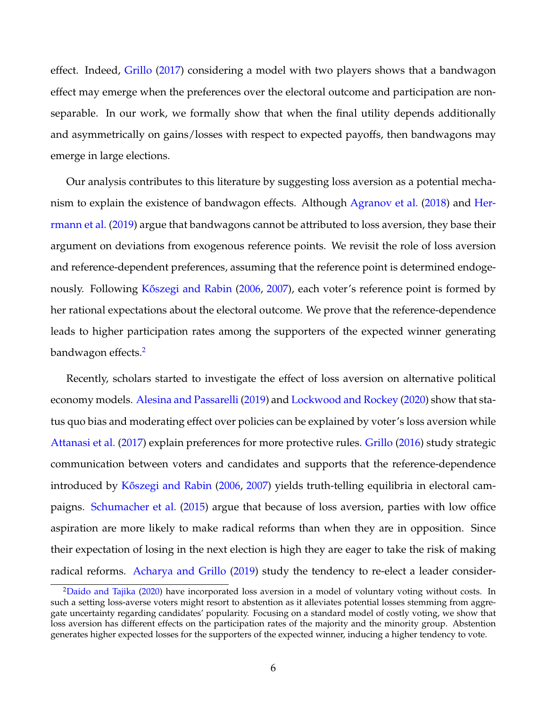effect. Indeed, [Grillo](#page-23-5) [\(2017\)](#page-23-5) considering a model with two players shows that a bandwagon effect may emerge when the preferences over the electoral outcome and participation are nonseparable. In our work, we formally show that when the final utility depends additionally and asymmetrically on gains/losses with respect to expected payoffs, then bandwagons may emerge in large elections.

Our analysis contributes to this literature by suggesting loss aversion as a potential mechanism to explain the existence of bandwagon effects. Although [Agranov et al.](#page-22-0) [\(2018\)](#page-22-0) and [Her](#page-23-6)[rmann et al.](#page-23-6) [\(2019\)](#page-23-6) argue that bandwagons cannot be attributed to loss aversion, they base their argument on deviations from exogenous reference points. We revisit the role of loss aversion and reference-dependent preferences, assuming that the reference point is determined endoge-nously. Following Kőszegi and Rabin [\(2006,](#page-24-1) [2007\)](#page-24-10), each voter's reference point is formed by her rational expectations about the electoral outcome. We prove that the reference-dependence leads to higher participation rates among the supporters of the expected winner generating bandwagon effects.<sup>[2](#page-5-0)</sup>

Recently, scholars started to investigate the effect of loss aversion on alternative political economy models. [Alesina and Passarelli](#page-22-4) [\(2019\)](#page-22-4) and [Lockwood and Rockey](#page-25-6) [\(2020\)](#page-25-6) show that status quo bias and moderating effect over policies can be explained by voter's loss aversion while [Attanasi et al.](#page-22-5) [\(2017\)](#page-22-5) explain preferences for more protective rules. [Grillo](#page-23-7) [\(2016\)](#page-23-7) study strategic communication between voters and candidates and supports that the reference-dependence introduced by Kőszegi and Rabin [\(2006,](#page-24-1) [2007\)](#page-24-10) yields truth-telling equilibria in electoral campaigns. [Schumacher et al.](#page-25-7) [\(2015\)](#page-25-7) argue that because of loss aversion, parties with low office aspiration are more likely to make radical reforms than when they are in opposition. Since their expectation of losing in the next election is high they are eager to take the risk of making radical reforms. [Acharya and Grillo](#page-22-6) [\(2019\)](#page-22-6) study the tendency to re-elect a leader consider-

<span id="page-5-0"></span><sup>&</sup>lt;sup>2</sup>[Daido and Tajika](#page-22-7) [\(2020\)](#page-22-7) have incorporated loss aversion in a model of voluntary voting without costs. In such a setting loss-averse voters might resort to abstention as it alleviates potential losses stemming from aggregate uncertainty regarding candidates' popularity. Focusing on a standard model of costly voting, we show that loss aversion has different effects on the participation rates of the majority and the minority group. Abstention generates higher expected losses for the supporters of the expected winner, inducing a higher tendency to vote.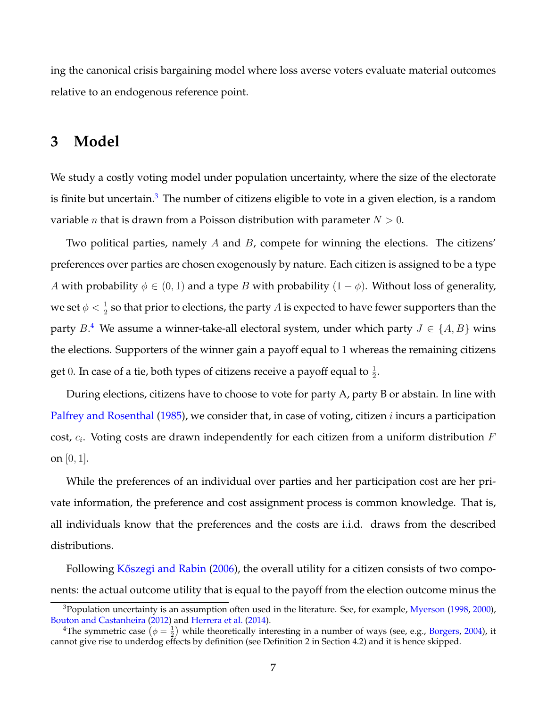ing the canonical crisis bargaining model where loss averse voters evaluate material outcomes relative to an endogenous reference point.

# <span id="page-6-0"></span>**3 Model**

We study a costly voting model under population uncertainty, where the size of the electorate is finite but uncertain.<sup>[3](#page-6-1)</sup> The number of citizens eligible to vote in a given election, is a random variable *n* that is drawn from a Poisson distribution with parameter  $N > 0$ .

Two political parties, namely  $A$  and  $B$ , compete for winning the elections. The citizens' preferences over parties are chosen exogenously by nature. Each citizen is assigned to be a type A with probability  $\phi \in (0, 1)$  and a type B with probability  $(1 - \phi)$ . Without loss of generality, we set  $\phi < \frac{1}{2}$  so that prior to elections, the party  $A$  is expected to have fewer supporters than the party  $B$ .<sup>[4](#page-6-2)</sup> We assume a winner-take-all electoral system, under which party  $J \in \{A, B\}$  wins the elections. Supporters of the winner gain a payoff equal to 1 whereas the remaining citizens get 0. In case of a tie, both types of citizens receive a payoff equal to  $\frac{1}{2}$ .

During elections, citizens have to choose to vote for party A, party B or abstain. In line with [Palfrey and Rosenthal](#page-25-0) [\(1985\)](#page-25-0), we consider that, in case of voting, citizen  $i$  incurs a participation cost,  $c_i$ . Voting costs are drawn independently for each citizen from a uniform distribution  $F$ on  $[0, 1]$ .

While the preferences of an individual over parties and her participation cost are her private information, the preference and cost assignment process is common knowledge. That is, all individuals know that the preferences and the costs are i.i.d. draws from the described distributions.

Following Kőszegi and Rabin [\(2006\)](#page-24-1), the overall utility for a citizen consists of two components: the actual outcome utility that is equal to the payoff from the election outcome minus the

<span id="page-6-1"></span> $3$ Population uncertainty is an assumption often used in the literature. See, for example, [Myerson](#page-25-8) [\(1998,](#page-25-8) [2000\)](#page-25-9), [Bouton and Castanheira](#page-22-8) [\(2012\)](#page-22-8) and [Herrera et al.](#page-23-0) [\(2014\)](#page-23-0).

<span id="page-6-2"></span><sup>&</sup>lt;sup>4</sup>The symmetric case  $(\phi = \frac{1}{2})$  while theoretically interesting in a number of ways (see, e.g., [Borgers,](#page-22-3) [2004\)](#page-22-3), it cannot give rise to underdog effects by definition (see Definition 2 in Section 4.2) and it is hence skipped.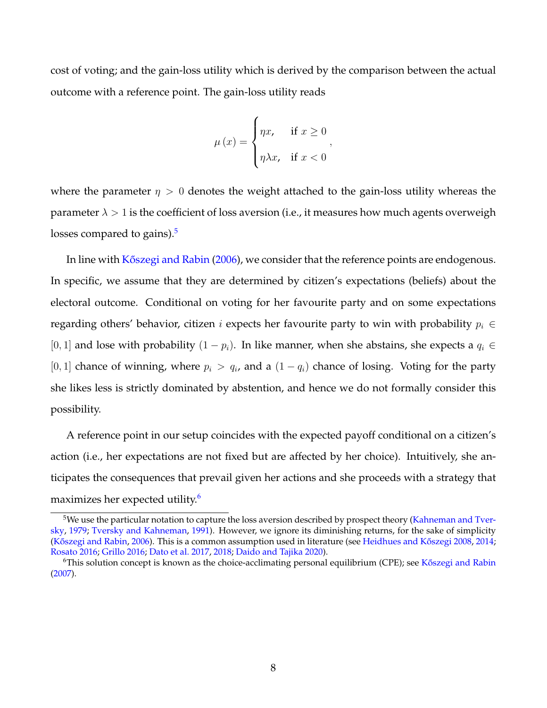cost of voting; and the gain-loss utility which is derived by the comparison between the actual outcome with a reference point. The gain-loss utility reads

$$
\mu(x) = \begin{cases} \eta x, & \text{if } x \ge 0 \\ \eta \lambda x, & \text{if } x < 0 \end{cases}
$$

where the parameter  $\eta > 0$  denotes the weight attached to the gain-loss utility whereas the parameter  $\lambda > 1$  is the coefficient of loss aversion (i.e., it measures how much agents overweigh losses compared to gains). $5$ 

In line with Kőszegi and Rabin [\(2006\)](#page-24-1), we consider that the reference points are endogenous. In specific, we assume that they are determined by citizen's expectations (beliefs) about the electoral outcome. Conditional on voting for her favourite party and on some expectations regarding others' behavior, citizen *i* expects her favourite party to win with probability  $p_i \in$ [0, 1] and lose with probability  $(1 - p_i)$ . In like manner, when she abstains, she expects a  $q_i \in$ [0, 1] chance of winning, where  $p_i > q_i$ , and a  $(1 - q_i)$  chance of losing. Voting for the party she likes less is strictly dominated by abstention, and hence we do not formally consider this possibility.

A reference point in our setup coincides with the expected payoff conditional on a citizen's action (i.e., her expectations are not fixed but are affected by her choice). Intuitively, she anticipates the consequences that prevail given her actions and she proceeds with a strategy that maximizes her expected utility.<sup>[6](#page-7-1)</sup>

<span id="page-7-0"></span><sup>&</sup>lt;sup>5</sup>We use the particular notation to capture the loss aversion described by prospect theory [\(Kahneman and Tver](#page-24-5)[sky,](#page-24-5) [1979;](#page-24-5) [Tversky and Kahneman,](#page-25-2) [1991\)](#page-25-2). However, we ignore its diminishing returns, for the sake of simplicity (Kőszegi and Rabin, [2006\)](#page-24-1). This is a common assumption used in literature (see Heidhues and Kőszegi [2008,](#page-23-8) [2014;](#page-23-9) [Rosato](#page-25-10) [2016;](#page-25-10) [Grillo](#page-23-7) [2016;](#page-23-7) [Dato et al.](#page-23-10) [2017,](#page-23-10) [2018;](#page-23-11) [Daido and Tajika](#page-22-7) [2020\)](#page-22-7).

<span id="page-7-1"></span> $6$ This solution concept is known as the choice-acclimating personal equilibrium (CPE); see K $\delta$ szegi and Rabin [\(2007\)](#page-24-10).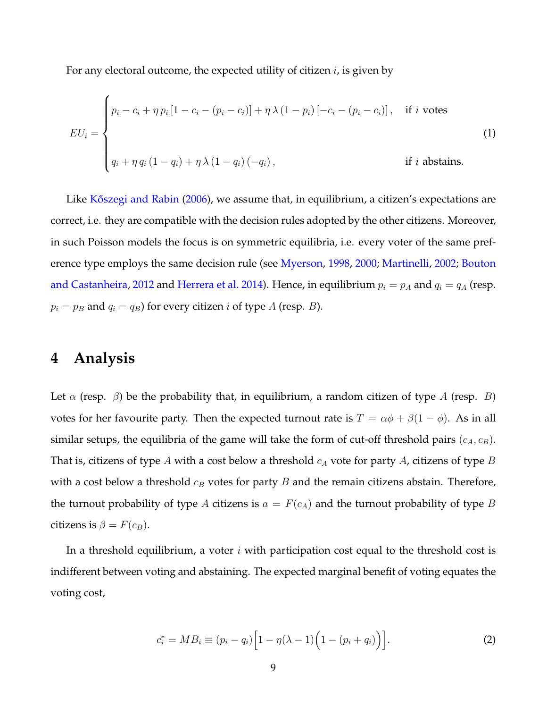For any electoral outcome, the expected utility of citizen  $i$ , is given by

$$
EU_i = \begin{cases} p_i - c_i + \eta p_i [1 - c_i - (p_i - c_i)] + \eta \lambda (1 - p_i) [-c_i - (p_i - c_i)], & \text{if } i \text{ votes} \\ & \\ q_i + \eta q_i (1 - q_i) + \eta \lambda (1 - q_i) (-q_i), & \text{if } i \text{ abstains.} \end{cases}
$$
(1)

Like Kőszegi and Rabin [\(2006\)](#page-24-1), we assume that, in equilibrium, a citizen's expectations are correct, i.e. they are compatible with the decision rules adopted by the other citizens. Moreover, in such Poisson models the focus is on symmetric equilibria, i.e. every voter of the same preference type employs the same decision rule (see [Myerson,](#page-25-8) [1998,](#page-25-8) [2000;](#page-25-9) [Martinelli,](#page-25-11) [2002;](#page-25-11) [Bouton](#page-22-8) [and Castanheira,](#page-22-8) [2012](#page-22-8) and [Herrera et al.](#page-23-0) [2014\)](#page-23-0). Hence, in equilibrium  $p_i = p_A$  and  $q_i = q_A$  (resp.  $p_i = p_B$  and  $q_i = q_B$ ) for every citizen *i* of type *A* (resp. *B*).

### <span id="page-8-0"></span>**4 Analysis**

 $\overline{\phantom{a}}$ 

Let  $\alpha$  (resp.  $\beta$ ) be the probability that, in equilibrium, a random citizen of type A (resp. B) votes for her favourite party. Then the expected turnout rate is  $T = \alpha \phi + \beta(1 - \phi)$ . As in all similar setups, the equilibria of the game will take the form of cut-off threshold pairs  $(c_A, c_B)$ . That is, citizens of type A with a cost below a threshold  $c_A$  vote for party A, citizens of type B with a cost below a threshold  $c_B$  votes for party B and the remain citizens abstain. Therefore, the turnout probability of type A citizens is  $a = F(c_A)$  and the turnout probability of type B citizens is  $\beta = F(c_B)$ .

In a threshold equilibrium, a voter  $i$  with participation cost equal to the threshold cost is indifferent between voting and abstaining. The expected marginal benefit of voting equates the voting cost,

$$
c_i^* = MB_i \equiv (p_i - q_i) \Big[ 1 - \eta(\lambda - 1) \Big( 1 - (p_i + q_i) \Big) \Big]. \tag{2}
$$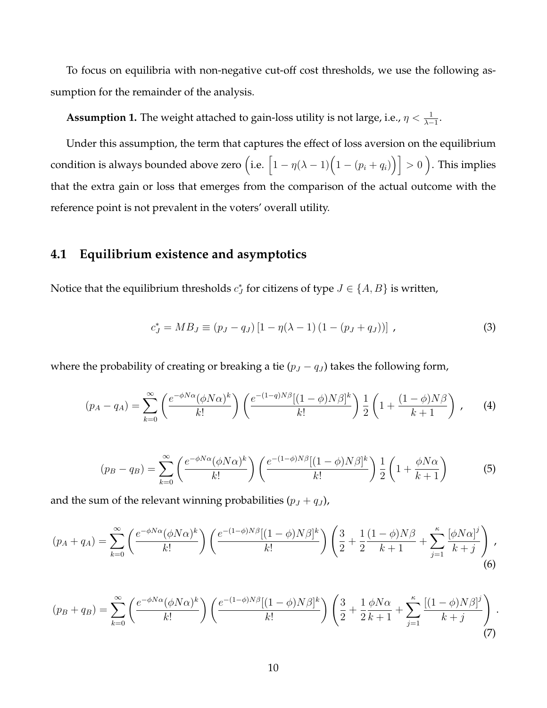To focus on equilibria with non-negative cut-off cost thresholds, we use the following assumption for the remainder of the analysis.

**Assumption 1.** The weight attached to gain-loss utility is not large, i.e.,  $\eta < \frac{1}{\lambda - 1}$ .

Under this assumption, the term that captures the effect of loss aversion on the equilibrium condition is always bounded above zero  $\Big({\rm i.e.}\ \Bigl[1-\eta(\lambda-1)\Bigl(1-(p_i+q_i)\Bigr)\Bigr]>0$  ). This implies that the extra gain or loss that emerges from the comparison of the actual outcome with the reference point is not prevalent in the voters' overall utility.

#### **4.1 Equilibrium existence and asymptotics**

Notice that the equilibrium thresholds  $c_J^*$  for citizens of type  $J \in \{A, B\}$  is written,

<span id="page-9-0"></span>
$$
c_J^* = MB_J \equiv (p_J - q_J) [1 - \eta(\lambda - 1) (1 - (p_J + q_J))], \qquad (3)
$$

where the probability of creating or breaking a tie ( $p_J - q_J$ ) takes the following form,

<span id="page-9-1"></span>
$$
(p_A - q_A) = \sum_{k=0}^{\infty} \left( \frac{e^{-\phi N \alpha} (\phi N \alpha)^k}{k!} \right) \left( \frac{e^{-(1-q)N \beta} [(1-\phi)N \beta]^k}{k!} \right) \frac{1}{2} \left( 1 + \frac{(1-\phi)N \beta}{k+1} \right) ,\tag{4}
$$

<span id="page-9-2"></span>
$$
(p_B - q_B) = \sum_{k=0}^{\infty} \left( \frac{e^{-\phi N \alpha} (\phi N \alpha)^k}{k!} \right) \left( \frac{e^{-(1-\phi)N\beta} [(1-\phi)N\beta]^k}{k!} \right) \frac{1}{2} \left( 1 + \frac{\phi N \alpha}{k+1} \right) \tag{5}
$$

and the sum of the relevant winning probabilities  $(p_J + q_J)$ ,

$$
(p_A + q_A) = \sum_{k=0}^{\infty} \left( \frac{e^{-\phi N \alpha} (\phi N \alpha)^k}{k!} \right) \left( \frac{e^{-(1-\phi)N \beta} [(1-\phi)N \beta]^k}{k!} \right) \left( \frac{3}{2} + \frac{1}{2} \frac{(1-\phi)N \beta}{k+1} + \sum_{j=1}^{\kappa} \frac{[\phi N \alpha]^j}{k+j} \right),\tag{6}
$$

$$
(p_B + q_B) = \sum_{k=0}^{\infty} \left( \frac{e^{-\phi N \alpha} (\phi N \alpha)^k}{k!} \right) \left( \frac{e^{-(1-\phi)N\beta} [(1-\phi)N\beta]^k}{k!} \right) \left( \frac{3}{2} + \frac{1}{2} \frac{\phi N \alpha}{k+1} + \sum_{j=1}^{\kappa} \frac{[(1-\phi)N\beta]^j}{k+j} \right). \tag{7}
$$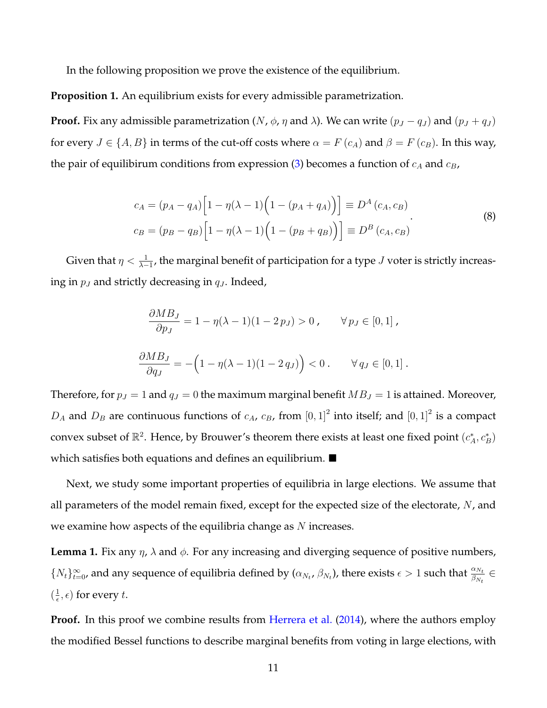In the following proposition we prove the existence of the equilibrium.

**Proposition 1.** An equilibrium exists for every admissible parametrization.

**Proof.** Fix any admissible parametrization (N,  $\phi$ ,  $\eta$  and  $\lambda$ ). We can write ( $p_J - q_J$ ) and ( $p_J + q_J$ ) for every  $J \in \{A, B\}$  in terms of the cut-off costs where  $\alpha = F(c_A)$  and  $\beta = F(c_B)$ . In this way, the pair of equilibirum conditions from expression [\(3\)](#page-9-0) becomes a function of  $c_A$  and  $c_B$ ,

$$
c_A = (p_A - q_A) \Big[ 1 - \eta(\lambda - 1) \Big( 1 - (p_A + q_A) \Big) \Big] \equiv D^A(c_A, c_B)
$$
  
\n
$$
c_B = (p_B - q_B) \Big[ 1 - \eta(\lambda - 1) \Big( 1 - (p_B + q_B) \Big) \Big] \equiv D^B(c_A, c_B)
$$
\n(8)

Given that  $\eta < \frac{1}{\lambda-1}$ , the marginal benefit of participation for a type  $J$  voter is strictly increasing in  $p_J$  and strictly decreasing in  $q_J$ . Indeed,

$$
\frac{\partial MB_J}{\partial p_J} = 1 - \eta(\lambda - 1)(1 - 2p_J) > 0, \quad \forall p_J \in [0, 1],
$$
  

$$
\frac{\partial MB_J}{\partial q_J} = -\left(1 - \eta(\lambda - 1)(1 - 2q_J)\right) < 0. \quad \forall q_J \in [0, 1].
$$

Therefore, for  $p_J = 1$  and  $q_J = 0$  the maximum marginal benefit  $MB_J = 1$  is attained. Moreover,  $D_A$  and  $D_B$  are continuous functions of  $c_A$ ,  $c_B$ , from  $[0,1]^2$  into itself; and  $[0,1]^2$  is a compact convex subset of  $\mathbb{R}^2$ . Hence, by Brouwer's theorem there exists at least one fixed point  $(c_A^*, c_B^*)$ which satisfies both equations and defines an equilibrium.  $\blacksquare$ 

Next, we study some important properties of equilibria in large elections. We assume that all parameters of the model remain fixed, except for the expected size of the electorate,  $N$ , and we examine how aspects of the equilibria change as  $N$  increases.

**Lemma 1.** Fix any  $\eta$ ,  $\lambda$  and  $\phi$ . For any increasing and diverging sequence of positive numbers,  $\{N_t\}_{t=0}^{\infty}$ , and any sequence of equilibria defined by  $(\alpha_{N_t}, \beta_{N_t})$ , there exists  $\epsilon > 1$  such that  $\frac{\alpha_{N_t}}{\beta_{N_t}} \in$  $\left(\frac{1}{\epsilon}\right)$  $(\frac{1}{\epsilon}, \epsilon)$  for every t.

**Proof.** In this proof we combine results from [Herrera et al.](#page-23-0) [\(2014\)](#page-23-0), where the authors employ the modified Bessel functions to describe marginal benefits from voting in large elections, with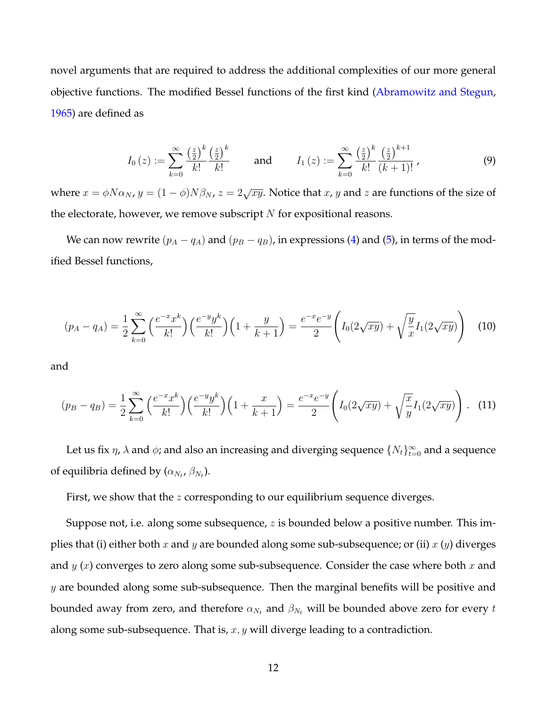novel arguments that are required to address the additional complexities of our more general objective functions. The modified Bessel functions of the first kind [\(Abramowitz and Stegun,](#page-22-9) [1965\)](#page-22-9) are defined as

<span id="page-11-0"></span>
$$
I_0(z) := \sum_{k=0}^{\infty} \frac{\left(\frac{z}{2}\right)^k}{k!} \frac{\left(\frac{z}{2}\right)^k}{k!} \quad \text{and} \quad I_1(z) := \sum_{k=0}^{\infty} \frac{\left(\frac{z}{2}\right)^k}{k!} \frac{\left(\frac{z}{2}\right)^{k+1}}{\left(k+1\right)!},\tag{9}
$$

where  $x = \phi N \alpha_N$ ,  $y = (1 - \phi)N\beta_N$ ,  $z = 2\sqrt{xy}$ . Notice that x, y and z are functions of the size of the electorate, however, we remove subscript  $N$  for expositional reasons.

We can now rewrite  $(p_A - q_A)$  and  $(p_B - q_B)$ , in expressions [\(4\)](#page-9-1) and [\(5\)](#page-9-2), in terms of the modified Bessel functions,

<span id="page-11-1"></span>
$$
(p_A - q_A) = \frac{1}{2} \sum_{k=0}^{\infty} {\left(\frac{e^{-x} x^k}{k!}\right) {\left(\frac{e^{-y} y^k}{k!}\right) \left(1 + \frac{y}{k+1}\right)}} = \frac{e^{-x} e^{-y}}{2} \left(I_0(2\sqrt{xy}) + \sqrt{\frac{y}{x}} I_1(2\sqrt{xy})\right) \tag{10}
$$

and

<span id="page-11-2"></span>
$$
(p_B - q_B) = \frac{1}{2} \sum_{k=0}^{\infty} {\left(\frac{e^{-x} x^k}{k!}\right) {\left(\frac{e^{-y} y^k}{k!}\right) \left(1 + \frac{x}{k+1}\right)}} = \frac{e^{-x} e^{-y}}{2} \left(I_0(2\sqrt{xy}) + \sqrt{\frac{x}{y}} I_1(2\sqrt{xy})\right). \tag{11}
$$

Let us fix  $\eta$ ,  $\lambda$  and  $\phi$ ; and also an increasing and diverging sequence  $\{N_t\}_{t=0}^{\infty}$  and a sequence of equilibria defined by  $(\alpha_{N_t}, \beta_{N_t}).$ 

First, we show that the *z* corresponding to our equilibrium sequence diverges.

Suppose not, i.e. along some subsequence,  $z$  is bounded below a positive number. This implies that (i) either both x and y are bounded along some sub-subsequence; or (ii)  $x(y)$  diverges and  $y(x)$  converges to zero along some sub-subsequence. Consider the case where both  $x$  and  $y$  are bounded along some sub-subsequence. Then the marginal benefits will be positive and bounded away from zero, and therefore  $\alpha_{N_t}$  and  $\beta_{N_t}$  will be bounded above zero for every t along some sub-subsequence. That is,  $x, y$  will diverge leading to a contradiction.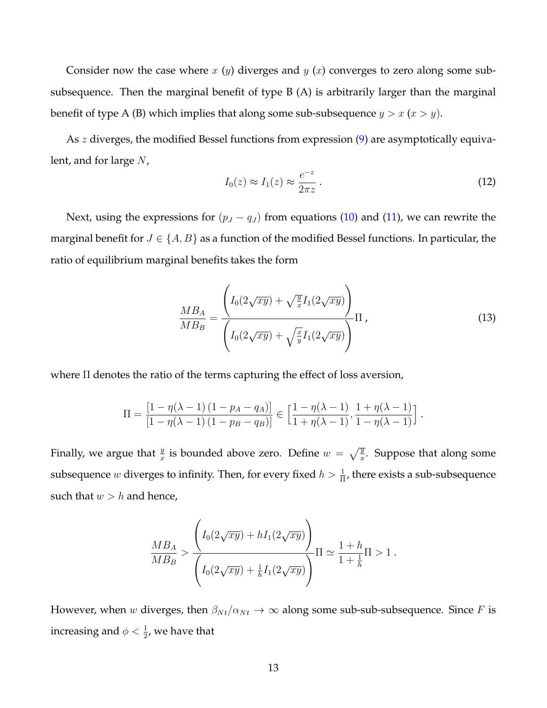Consider now the case where  $x(y)$  diverges and  $y(x)$  converges to zero along some subsubsequence. Then the marginal benefit of type B (A) is arbitrarily larger than the marginal benefit of type A (B) which implies that along some sub-subsequence  $y > x$  ( $x > y$ ).

As *z* diverges, the modified Bessel functions from expression [\(9\)](#page-11-0) are asymptotically equivalent, and for large  $N$ ,

<span id="page-12-0"></span>
$$
I_0(z) \approx I_1(z) \approx \frac{e^{-z}}{2\pi z} \,. \tag{12}
$$

Next, using the expressions for  $(p_J - q_J)$  from equations [\(10\)](#page-11-1) and [\(11\)](#page-11-2), we can rewrite the marginal benefit for  $J \in \{A, B\}$  as a function of the modified Bessel functions. In particular, the ratio of equilibrium marginal benefits takes the form

$$
\frac{MB_A}{MB_B} = \frac{\left(I_0(2\sqrt{xy}) + \sqrt{\frac{y}{x}}I_1(2\sqrt{xy})\right)}{\left(I_0(2\sqrt{xy}) + \sqrt{\frac{x}{y}}I_1(2\sqrt{xy})\right)}\Pi,
$$
\n(13)

.

where Π denotes the ratio of the terms capturing the effect of loss aversion,

$$
\Pi = \frac{\left[1 - \eta(\lambda - 1)\left(1 - p_A - q_A\right)\right]}{\left[1 - \eta(\lambda - 1)\left(1 - p_B - q_B\right)\right]} \in \left[\frac{1 - \eta(\lambda - 1)}{1 + \eta(\lambda - 1)}, \frac{1 + \eta(\lambda - 1)}{1 - \eta(\lambda - 1)}\right]
$$

Finally, we argue that  $\frac{y}{x}$  is bounded above zero. Define  $w = \sqrt{\frac{y}{x}}$ . Suppose that along some subsequence  $w$  diverges to infinity. Then, for every fixed  $h > \frac{1}{\Pi}$ , there exists a sub-subsequence such that  $w > h$  and hence,

$$
\frac{MB_A}{MB_B} > \frac{\left(I_0(2\sqrt{xy}) + hI_1(2\sqrt{xy})\right)}{\left(I_0(2\sqrt{xy}) + \frac{1}{h}I_1(2\sqrt{xy})\right)}\Pi \simeq \frac{1+h}{1+\frac{1}{h}}\Pi > 1.
$$

However, when w diverges, then  $\beta_{Nt}/\alpha_{Nt} \rightarrow \infty$  along some sub-sub-subsequence. Since F is increasing and  $\phi < \frac{1}{2}$ , we have that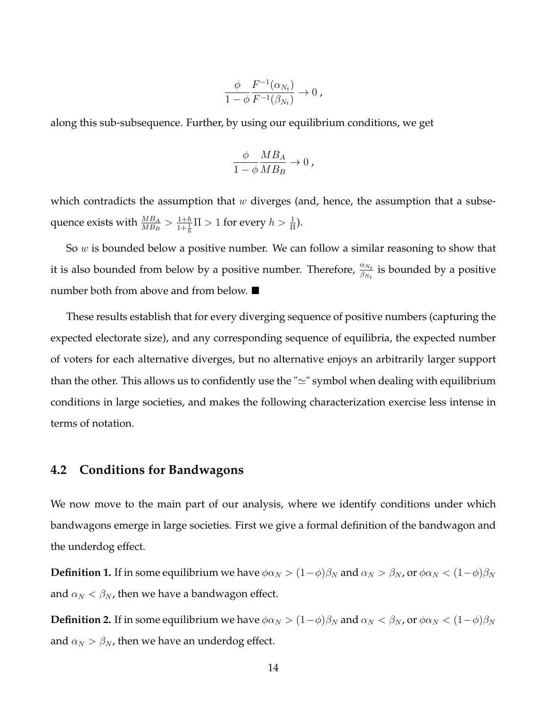$$
\frac{\phi}{1-\phi} \frac{F^{-1}(\alpha_{N_t})}{F^{-1}(\beta_{N_t})} \to 0,
$$

along this sub-subsequence. Further, by using our equilibrium conditions, we get

$$
\frac{\phi}{1-\phi} \frac{MB_A}{MB_B} \to 0 ,
$$

which contradicts the assumption that  $w$  diverges (and, hence, the assumption that a subsequence exists with  $\frac{MB_A}{MB_B} > \frac{1+h}{1+\frac{1}{h}}\Pi > 1$  for every  $h > \frac{1}{\Pi}$ ).

So w is bounded below a positive number. We can follow a similar reasoning to show that it is also bounded from below by a positive number. Therefore,  $\frac{\alpha_{N_t}}{\beta_{N_t}}$  is bounded by a positive number both from above and from below. ■

These results establish that for every diverging sequence of positive numbers (capturing the expected electorate size), and any corresponding sequence of equilibria, the expected number of voters for each alternative diverges, but no alternative enjoys an arbitrarily larger support than the other. This allows us to confidently use the " $\simeq$ " symbol when dealing with equilibrium conditions in large societies, and makes the following characterization exercise less intense in terms of notation.

#### **4.2 Conditions for Bandwagons**

We now move to the main part of our analysis, where we identify conditions under which bandwagons emerge in large societies. First we give a formal definition of the bandwagon and the underdog effect.

**Definition 1.** If in some equilibrium we have  $\phi \alpha_N > (1 - \phi) \beta_N$  and  $\alpha_N > \beta_N$ , or  $\phi \alpha_N < (1 - \phi) \beta_N$ and  $\alpha_N < \beta_N$ , then we have a bandwagon effect.

**Definition 2.** If in some equilibrium we have  $\phi \alpha_N > (1 - \phi) \beta_N$  and  $\alpha_N < \beta_N$ , or  $\phi \alpha_N < (1 - \phi) \beta_N$ and  $\alpha_N > \beta_N$ , then we have an underdog effect.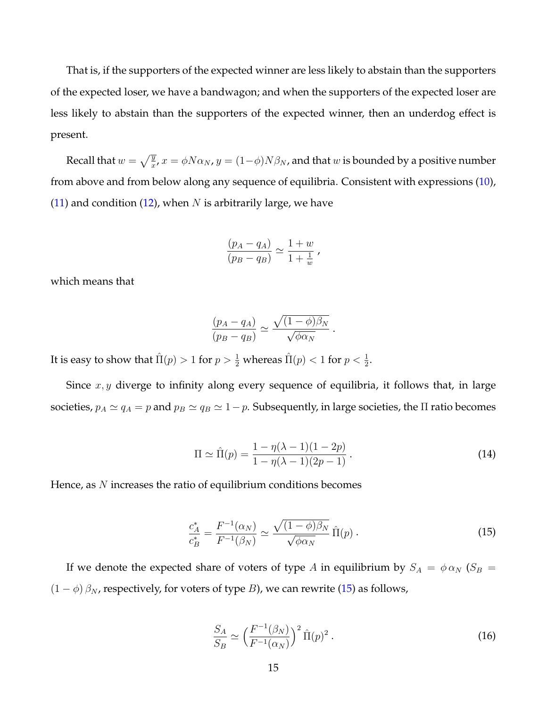That is, if the supporters of the expected winner are less likely to abstain than the supporters of the expected loser, we have a bandwagon; and when the supporters of the expected loser are less likely to abstain than the supporters of the expected winner, then an underdog effect is present.

Recall that  $w=\sqrt{\frac{y}{x}}$ ,  $x=\phi N \alpha_N$ ,  $y=(1-\phi)N \beta_N$ , and that  $w$  is bounded by a positive number from above and from below along any sequence of equilibria. Consistent with expressions [\(10\)](#page-11-1), [\(11\)](#page-11-2) and condition [\(12\)](#page-12-0), when N is arbitrarily large, we have

$$
\frac{(p_A - q_A)}{(p_B - q_B)} \simeq \frac{1+w}{1 + \frac{1}{w}}\,,
$$

which means that

$$
\frac{(p_A - q_A)}{(p_B - q_B)} \simeq \frac{\sqrt{(1 - \phi)\beta_N}}{\sqrt{\phi \alpha_N}}.
$$

It is easy to show that  $\hat{\Pi}(p) > 1$  for  $p > \frac{1}{2}$  whereas  $\hat{\Pi}(p) < 1$  for  $p < \frac{1}{2}$ .

Since  $x, y$  diverge to infinity along every sequence of equilibria, it follows that, in large societies,  $p_A \simeq q_A = p$  and  $p_B \simeq q_B \simeq 1-p$ . Subsequently, in large societies, the  $\Pi$  ratio becomes

<span id="page-14-1"></span>
$$
\Pi \simeq \hat{\Pi}(p) = \frac{1 - \eta(\lambda - 1)(1 - 2p)}{1 - \eta(\lambda - 1)(2p - 1)}.
$$
\n(14)

Hence, as  $N$  increases the ratio of equilibrium conditions becomes

<span id="page-14-0"></span>
$$
\frac{c_A^*}{c_B^*} = \frac{F^{-1}(\alpha_N)}{F^{-1}(\beta_N)} \simeq \frac{\sqrt{(1-\phi)\beta_N}}{\sqrt{\phi\alpha_N}} \hat{\Pi}(p) \,. \tag{15}
$$

If we denote the expected share of voters of type A in equilibrium by  $S_A = \phi \alpha_N (S_B =$  $(1 - \phi) \beta_N$ , respectively, for voters of type B), we can rewrite [\(15\)](#page-14-0) as follows,

<span id="page-14-2"></span>
$$
\frac{S_A}{S_B} \simeq \left(\frac{F^{-1}(\beta_N)}{F^{-1}(\alpha_N)}\right)^2 \hat{\Pi}(p)^2.
$$
\n(16)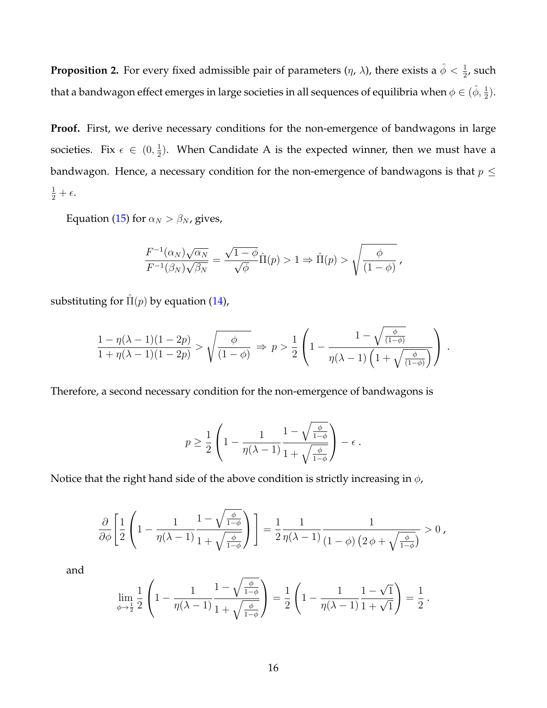**Proposition 2.** For every fixed admissible pair of parameters  $(\eta, \lambda)$ , there exists a  $\hat{\phi} < \frac{1}{2}$ , such that a bandwagon effect emerges in large societies in all sequences of equilibria when  $\phi\in(\hat\phi,\frac12).$ 

Proof. First, we derive necessary conditions for the non-emergence of bandwagons in large societies. Fix  $\epsilon \in (0, \frac{1}{2})$  $\frac{1}{2}$ ). When Candidate A is the expected winner, then we must have a bandwagon. Hence, a necessary condition for the non-emergence of bandwagons is that  $p \leq$  $\frac{1}{2}+\epsilon.$ 

Equation [\(15\)](#page-14-0) for  $\alpha_N > \beta_N$ , gives,

$$
\frac{F^{-1}(\alpha_N)\sqrt{\alpha_N}}{F^{-1}(\beta_N)\sqrt{\beta_N}} = \frac{\sqrt{1-\phi}}{\sqrt{\phi}}\hat{\Pi}(p) > 1 \Rightarrow \hat{\Pi}(p) > \sqrt{\frac{\phi}{(1-\phi)}},
$$

substituting for  $\hat{\Pi}(p)$  by equation [\(14\)](#page-14-1),

$$
\frac{1-\eta(\lambda-1)(1-2p)}{1+\eta(\lambda-1)(1-2p)} > \sqrt{\frac{\phi}{(1-\phi)}} \Rightarrow p > \frac{1}{2}\left(1-\frac{1-\sqrt{\frac{\phi}{(1-\phi)}}}{\eta(\lambda-1)\left(1+\sqrt{\frac{\phi}{(1-\phi)}}\right)}\right).
$$

Therefore, a second necessary condition for the non-emergence of bandwagons is

$$
p \ge \frac{1}{2} \left( 1 - \frac{1}{\eta(\lambda - 1)} \frac{1 - \sqrt{\frac{\phi}{1 - \phi}}}{1 + \sqrt{\frac{\phi}{1 - \phi}}} \right) - \epsilon.
$$

Notice that the right hand side of the above condition is strictly increasing in  $\phi$ ,

$$
\frac{\partial}{\partial \phi} \left[ \frac{1}{2} \left( 1 - \frac{1}{\eta(\lambda - 1)} \frac{1 - \sqrt{\frac{\phi}{1 - \phi}}}{1 + \sqrt{\frac{\phi}{1 - \phi}}} \right) \right] = \frac{1}{2} \frac{1}{\eta(\lambda - 1)} \frac{1}{(1 - \phi) \left( 2\phi + \sqrt{\frac{\phi}{1 - \phi}} \right)} > 0,
$$

and

$$
\lim_{\phi \to \frac{1}{2}} \frac{1}{2} \left( 1 - \frac{1}{\eta(\lambda - 1)} \frac{1 - \sqrt{\frac{\phi}{1 - \phi}}}{1 + \sqrt{\frac{\phi}{1 - \phi}}} \right) = \frac{1}{2} \left( 1 - \frac{1}{\eta(\lambda - 1)} \frac{1 - \sqrt{1}}{1 + \sqrt{1}} \right) = \frac{1}{2}.
$$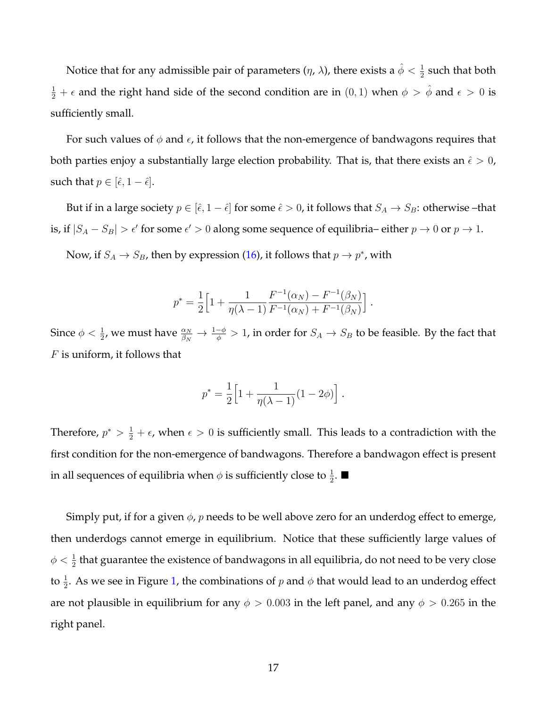Notice that for any admissible pair of parameters  $(\eta, \, \lambda)$ , there exists a  $\hat{\phi} < \frac{1}{2}$  such that both  $\frac{1}{2}+\epsilon$  and the right hand side of the second condition are in  $(0,1)$  when  $\phi > \hat{\phi}$  and  $\epsilon > 0$  is sufficiently small.

For such values of  $\phi$  and  $\epsilon$ , it follows that the non-emergence of bandwagons requires that both parties enjoy a substantially large election probability. That is, that there exists an  $\hat{\epsilon} > 0$ , such that  $p \in [\hat{\epsilon}, 1 - \hat{\epsilon}].$ 

But if in a large society  $p \in [\hat{\epsilon}, 1 - \hat{\epsilon}]$  for some  $\hat{\epsilon} > 0$ , it follows that  $S_A \to S_B$ : otherwise –that is, if  $|S_A - S_B| > \epsilon'$  for some  $\epsilon' > 0$  along some sequence of equilibria– either  $p \to 0$  or  $p \to 1$ .

Now, if  $S_A \to S_B$ , then by expression [\(16\)](#page-14-2), it follows that  $p \to p^*$ , with

$$
p^* = \frac{1}{2} \Big[ 1 + \frac{1}{\eta(\lambda - 1)} \frac{F^{-1}(\alpha_N) - F^{-1}(\beta_N)}{F^{-1}(\alpha_N) + F^{-1}(\beta_N)} \Big].
$$

Since  $\phi<\frac{1}{2}$ , we must have  $\frac{\alpha_N}{\beta_N}\to\frac{1-\phi}{\phi}>1$ , in order for  $S_A\to S_B$  to be feasible. By the fact that  $F$  is uniform, it follows that

$$
p^* = \frac{1}{2} \Big[ 1 + \frac{1}{\eta(\lambda - 1)} (1 - 2\phi) \Big] .
$$

Therefore,  $p^* > \frac{1}{2} + \epsilon$ , when  $\epsilon > 0$  is sufficiently small. This leads to a contradiction with the first condition for the non-emergence of bandwagons. Therefore a bandwagon effect is present in all sequences of equilibria when  $\phi$  is sufficiently close to  $\frac{1}{2}$ .  $\blacksquare$ 

Simply put, if for a given  $\phi$ , *p* needs to be well above zero for an underdog effect to emerge, then underdogs cannot emerge in equilibrium. Notice that these sufficiently large values of  $\phi < \frac{1}{2}$  that guarantee the existence of bandwagons in all equilibria, do not need to be very close to  $\frac{1}{2}$ . As we see in Figure [1,](#page-17-0) the combinations of  $p$  and  $\phi$  that would lead to an underdog effect are not plausible in equilibrium for any  $\phi > 0.003$  in the left panel, and any  $\phi > 0.265$  in the right panel.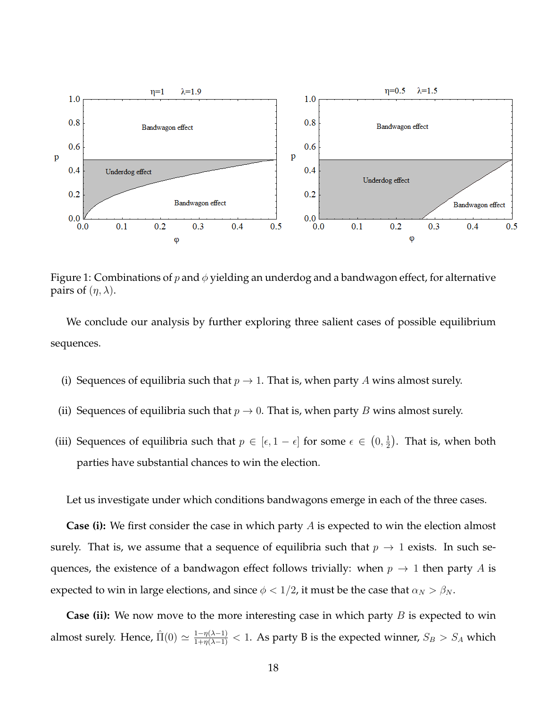

<span id="page-17-0"></span>Figure 1: Combinations of p and  $\phi$  yielding an underdog and a bandwagon effect, for alternative pairs of  $(\eta, \lambda)$ .

We conclude our analysis by further exploring three salient cases of possible equilibrium sequences.

- (i) Sequences of equilibria such that  $p \to 1$ . That is, when party A wins almost surely.
- (ii) Sequences of equilibria such that  $p \to 0$ . That is, when party B wins almost surely.
- (iii) Sequences of equilibria such that  $p \in [\epsilon, 1 \epsilon]$  for some  $\epsilon \in (0, \frac{1}{2})$  $(\frac{1}{2})$ . That is, when both parties have substantial chances to win the election.

Let us investigate under which conditions bandwagons emerge in each of the three cases.

**Case (i):** We first consider the case in which party A is expected to win the election almost surely. That is, we assume that a sequence of equilibria such that  $p \to 1$  exists. In such sequences, the existence of a bandwagon effect follows trivially: when  $p \to 1$  then party A is expected to win in large elections, and since  $\phi < 1/2$ , it must be the case that  $\alpha_N > \beta_N$ .

**Case (ii):** We now move to the more interesting case in which party *B* is expected to win almost surely. Hence,  $\hat{\Pi}(0) \simeq \frac{1-\eta(\lambda-1)}{1+\eta(\lambda-1)} < 1$ . As party B is the expected winner,  $S_B > S_A$  which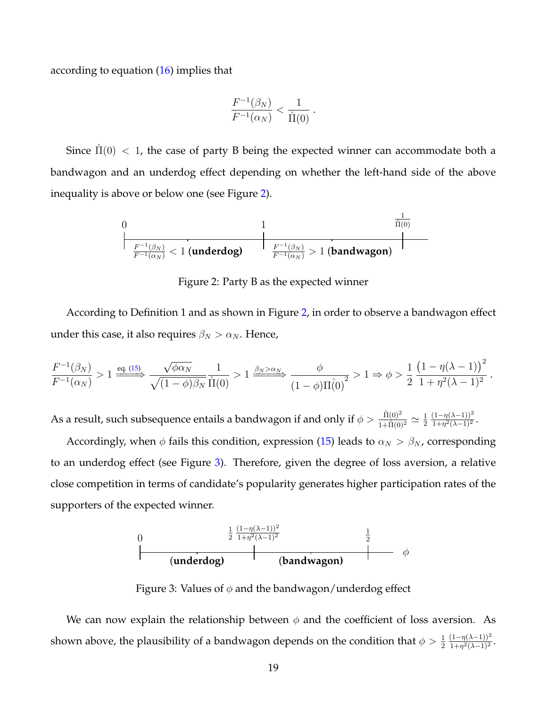according to equation [\(16\)](#page-14-2) implies that

$$
\frac{F^{-1}(\beta_N)}{F^{-1}(\alpha_N)} < \frac{1}{\hat{\Pi}(0)} \, .
$$

Since  $\hat{\Pi}(0) < 1$ , the case of party B being the expected winner can accommodate both a bandwagon and an underdog effect depending on whether the left-hand side of the above inequality is above or below one (see Figure [2\)](#page-18-0).

$$
\begin{array}{|c|c|c|}\hline 0 & 1 & \frac{1}{\hat{\Pi}(0)} \\ \hline & & & \\ \hline \frac{F^{-1}(\beta_N)}{F^{-1}(\alpha_N)} < 1 \; (\textrm{underdog}) & \frac{F^{-1}(\beta_N)}{F^{-1}(\alpha_N)} > 1 \; (\textrm{bandwagon}) \\ \hline \end{array}
$$

<span id="page-18-0"></span>Figure 2: Party B as the expected winner

According to Definition 1 and as shown in Figure [2,](#page-18-0) in order to observe a bandwagon effect under this case, it also requires  $\beta_N > \alpha_N$ . Hence,

$$
\frac{F^{-1}(\beta_N)}{F^{-1}(\alpha_N)} > 1 \xrightarrow{\text{eq. (15)}} \frac{\sqrt{\phi \alpha_N}}{\sqrt{(1-\phi)\beta_N}} \frac{1}{\hat{\Pi}(0)} > 1 \xrightarrow{\beta_N > \alpha_N} \frac{\phi}{(1-\phi)\Pi(\hat{0})^2} > 1 \Rightarrow \phi > \frac{1}{2} \frac{\left(1 - \eta(\lambda - 1)\right)^2}{1 + \eta^2(\lambda - 1)^2}
$$

.

As a result, such subsequence entails a bandwagon if and only if  $\phi>\frac{\hat\Pi(0)^2}{1+\hat\Pi(0)^2}\simeq \frac{1}{2}$ 2  $(1-\eta(\lambda-1))^2$  $\frac{(1-\eta(\lambda-1))^2}{1+\eta^2(\lambda-1)^2}$ .

Accordingly, when  $\phi$  fails this condition, expression [\(15\)](#page-14-0) leads to  $\alpha_N > \beta_N$ , corresponding to an underdog effect (see Figure [3\)](#page-18-1). Therefore, given the degree of loss aversion, a relative close competition in terms of candidate's popularity generates higher participation rates of the supporters of the expected winner.



<span id="page-18-1"></span>Figure 3: Values of  $\phi$  and the bandwagon/underdog effect

We can now explain the relationship between  $\phi$  and the coefficient of loss aversion. As shown above, the plausibility of a bandwagon depends on the condition that  $\phi>\frac{1}{2}$  $(1-\eta(\lambda-1))^2$  $\frac{(1-\eta(\lambda-1))^2}{1+\eta^2(\lambda-1)^2}$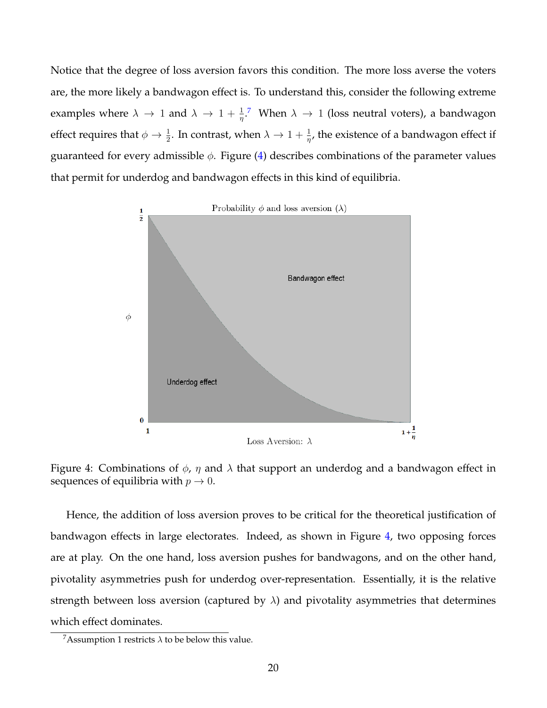Notice that the degree of loss aversion favors this condition. The more loss averse the voters are, the more likely a bandwagon effect is. To understand this, consider the following extreme examples where  $\lambda \to 1$  and  $\lambda \to 1 + \frac{1}{\eta}$ .<sup>[7](#page-19-0)</sup> When  $\lambda \to 1$  (loss neutral voters), a bandwagon effect requires that  $\phi \to \frac{1}{2}$ . In contrast, when  $\lambda \to 1 + \frac{1}{\eta}$ , the existence of a bandwagon effect if guaranteed for every admissible  $\phi$ . Figure [\(4\)](#page-19-1) describes combinations of the parameter values that permit for underdog and bandwagon effects in this kind of equilibria.



<span id="page-19-1"></span>Figure 4: Combinations of  $\phi$ ,  $\eta$  and  $\lambda$  that support an underdog and a bandwagon effect in sequences of equilibria with  $p \to 0$ .

Hence, the addition of loss aversion proves to be critical for the theoretical justification of bandwagon effects in large electorates. Indeed, as shown in Figure [4,](#page-19-1) two opposing forces are at play. On the one hand, loss aversion pushes for bandwagons, and on the other hand, pivotality asymmetries push for underdog over-representation. Essentially, it is the relative strength between loss aversion (captured by  $\lambda$ ) and pivotality asymmetries that determines which effect dominates.

<span id="page-19-0"></span><sup>&</sup>lt;sup>7</sup>Assumption 1 restricts  $\lambda$  to be below this value.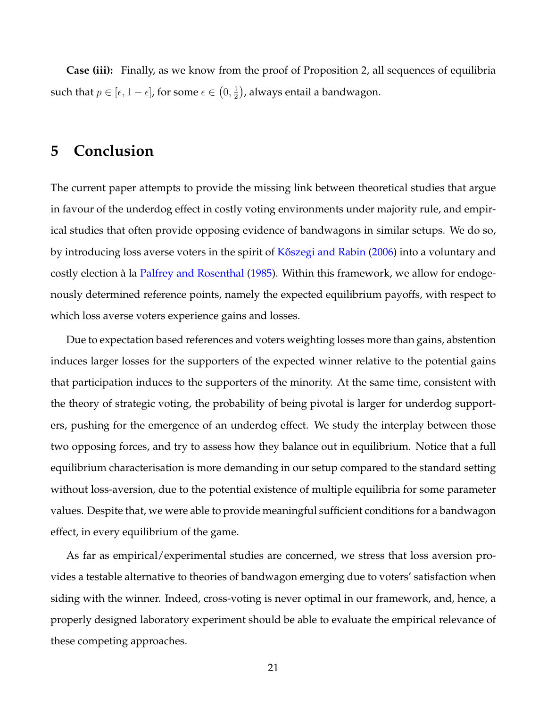**Case (iii):** Finally, as we know from the proof of Proposition 2, all sequences of equilibria such that  $p \in [\epsilon, 1 - \epsilon]$ , for some  $\epsilon \in (0, \frac{1}{2})$  $\frac{1}{2})$ , always entail a bandwagon.

# <span id="page-20-0"></span>**5 Conclusion**

The current paper attempts to provide the missing link between theoretical studies that argue in favour of the underdog effect in costly voting environments under majority rule, and empirical studies that often provide opposing evidence of bandwagons in similar setups. We do so, by introducing loss averse voters in the spirit of [K˝oszegi and Rabin](#page-24-1) [\(2006\)](#page-24-1) into a voluntary and costly election à la [Palfrey and Rosenthal](#page-25-0) [\(1985\)](#page-25-0). Within this framework, we allow for endogenously determined reference points, namely the expected equilibrium payoffs, with respect to which loss averse voters experience gains and losses.

Due to expectation based references and voters weighting losses more than gains, abstention induces larger losses for the supporters of the expected winner relative to the potential gains that participation induces to the supporters of the minority. At the same time, consistent with the theory of strategic voting, the probability of being pivotal is larger for underdog supporters, pushing for the emergence of an underdog effect. We study the interplay between those two opposing forces, and try to assess how they balance out in equilibrium. Notice that a full equilibrium characterisation is more demanding in our setup compared to the standard setting without loss-aversion, due to the potential existence of multiple equilibria for some parameter values. Despite that, we were able to provide meaningful sufficient conditions for a bandwagon effect, in every equilibrium of the game.

As far as empirical/experimental studies are concerned, we stress that loss aversion provides a testable alternative to theories of bandwagon emerging due to voters' satisfaction when siding with the winner. Indeed, cross-voting is never optimal in our framework, and, hence, a properly designed laboratory experiment should be able to evaluate the empirical relevance of these competing approaches.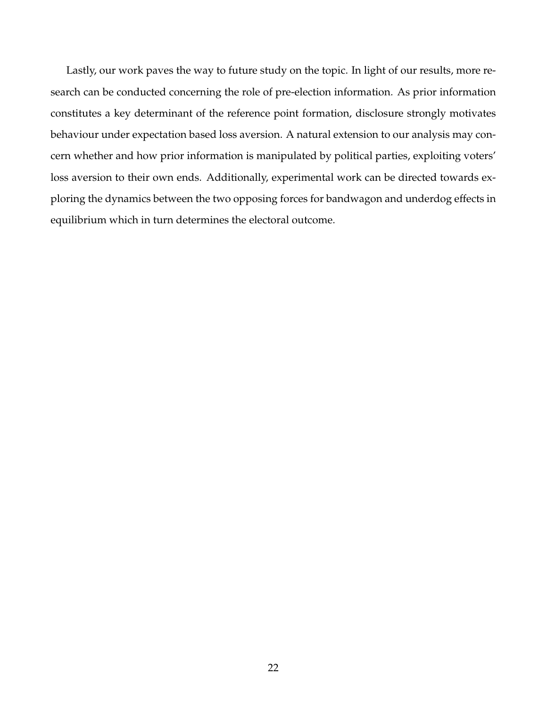Lastly, our work paves the way to future study on the topic. In light of our results, more research can be conducted concerning the role of pre-election information. As prior information constitutes a key determinant of the reference point formation, disclosure strongly motivates behaviour under expectation based loss aversion. A natural extension to our analysis may concern whether and how prior information is manipulated by political parties, exploiting voters' loss aversion to their own ends. Additionally, experimental work can be directed towards exploring the dynamics between the two opposing forces for bandwagon and underdog effects in equilibrium which in turn determines the electoral outcome.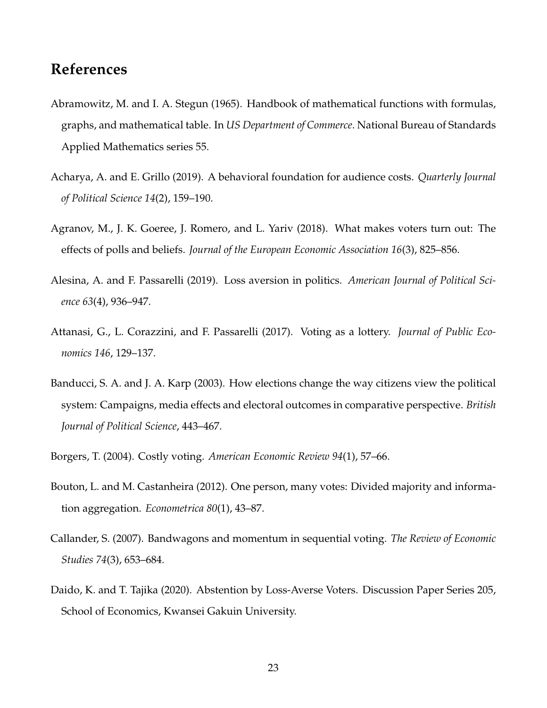# **References**

- <span id="page-22-9"></span>Abramowitz, M. and I. A. Stegun (1965). Handbook of mathematical functions with formulas, graphs, and mathematical table. In *US Department of Commerce*. National Bureau of Standards Applied Mathematics series 55.
- <span id="page-22-6"></span>Acharya, A. and E. Grillo (2019). A behavioral foundation for audience costs. *Quarterly Journal of Political Science 14*(2), 159–190.
- <span id="page-22-0"></span>Agranov, M., J. K. Goeree, J. Romero, and L. Yariv (2018). What makes voters turn out: The effects of polls and beliefs. *Journal of the European Economic Association 16*(3), 825–856.
- <span id="page-22-4"></span>Alesina, A. and F. Passarelli (2019). Loss aversion in politics. *American Journal of Political Science 63*(4), 936–947.
- <span id="page-22-5"></span>Attanasi, G., L. Corazzini, and F. Passarelli (2017). Voting as a lottery. *Journal of Public Economics 146*, 129–137.
- <span id="page-22-2"></span>Banducci, S. A. and J. A. Karp (2003). How elections change the way citizens view the political system: Campaigns, media effects and electoral outcomes in comparative perspective. *British Journal of Political Science*, 443–467.
- <span id="page-22-3"></span>Borgers, T. (2004). Costly voting. *American Economic Review 94*(1), 57–66.
- <span id="page-22-8"></span>Bouton, L. and M. Castanheira (2012). One person, many votes: Divided majority and information aggregation. *Econometrica 80*(1), 43–87.
- <span id="page-22-1"></span>Callander, S. (2007). Bandwagons and momentum in sequential voting. *The Review of Economic Studies 74*(3), 653–684.
- <span id="page-22-7"></span>Daido, K. and T. Tajika (2020). Abstention by Loss-Averse Voters. Discussion Paper Series 205, School of Economics, Kwansei Gakuin University.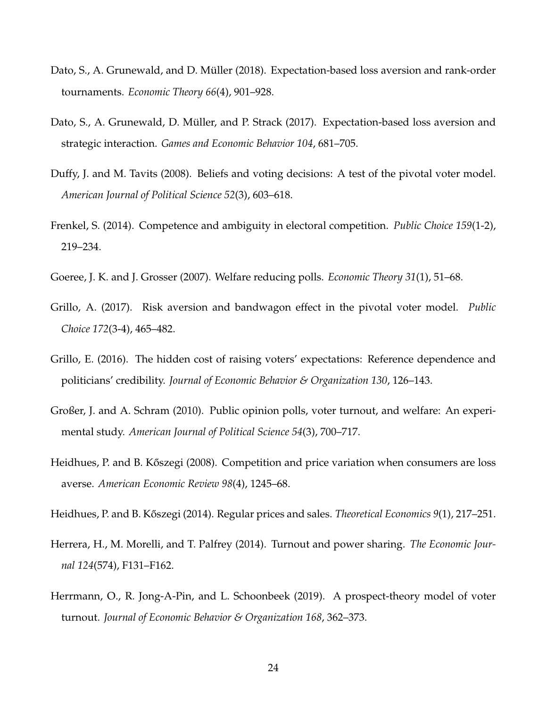- <span id="page-23-11"></span>Dato, S., A. Grunewald, and D. Müller (2018). Expectation-based loss aversion and rank-order tournaments. *Economic Theory 66*(4), 901–928.
- <span id="page-23-10"></span>Dato, S., A. Grunewald, D. Müller, and P. Strack (2017). Expectation-based loss aversion and strategic interaction. *Games and Economic Behavior 104*, 681–705.
- <span id="page-23-4"></span>Duffy, J. and M. Tavits (2008). Beliefs and voting decisions: A test of the pivotal voter model. *American Journal of Political Science 52*(3), 603–618.
- <span id="page-23-2"></span>Frenkel, S. (2014). Competence and ambiguity in electoral competition. *Public Choice 159*(1-2), 219–234.
- <span id="page-23-3"></span>Goeree, J. K. and J. Grosser (2007). Welfare reducing polls. *Economic Theory 31*(1), 51–68.
- <span id="page-23-5"></span>Grillo, A. (2017). Risk aversion and bandwagon effect in the pivotal voter model. *Public Choice 172*(3-4), 465–482.
- <span id="page-23-7"></span>Grillo, E. (2016). The hidden cost of raising voters' expectations: Reference dependence and politicians' credibility. *Journal of Economic Behavior & Organization 130*, 126–143.
- <span id="page-23-1"></span>Großer, J. and A. Schram (2010). Public opinion polls, voter turnout, and welfare: An experimental study. *American Journal of Political Science 54*(3), 700–717.
- <span id="page-23-8"></span>Heidhues, P. and B. Kőszegi (2008). Competition and price variation when consumers are loss averse. *American Economic Review 98*(4), 1245–68.
- <span id="page-23-9"></span>Heidhues, P. and B. K˝oszegi (2014). Regular prices and sales. *Theoretical Economics 9*(1), 217–251.
- <span id="page-23-0"></span>Herrera, H., M. Morelli, and T. Palfrey (2014). Turnout and power sharing. *The Economic Journal 124*(574), F131–F162.
- <span id="page-23-6"></span>Herrmann, O., R. Jong-A-Pin, and L. Schoonbeek (2019). A prospect-theory model of voter turnout. *Journal of Economic Behavior & Organization 168*, 362–373.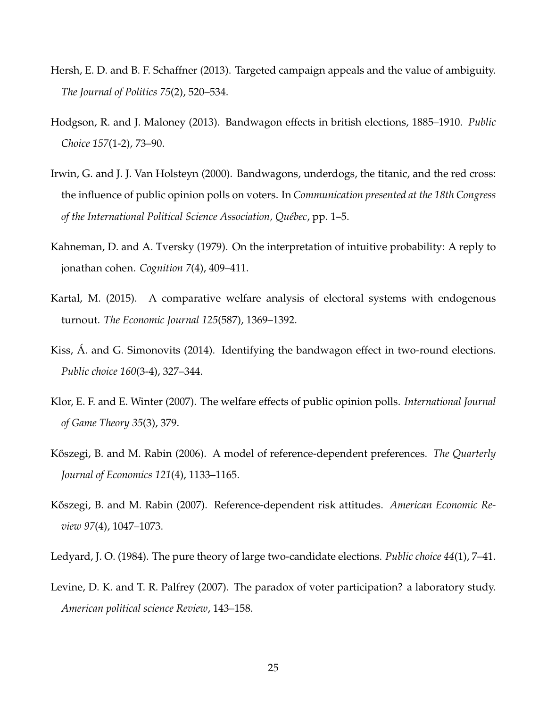- <span id="page-24-4"></span>Hersh, E. D. and B. F. Schaffner (2013). Targeted campaign appeals and the value of ambiguity. *The Journal of Politics 75*(2), 520–534.
- <span id="page-24-9"></span>Hodgson, R. and J. Maloney (2013). Bandwagon effects in british elections, 1885–1910. *Public Choice 157*(1-2), 73–90.
- <span id="page-24-2"></span>Irwin, G. and J. J. Van Holsteyn (2000). Bandwagons, underdogs, the titanic, and the red cross: the influence of public opinion polls on voters. In *Communication presented at the 18th Congress of the International Political Science Association, Québec*, pp. 1–5.
- <span id="page-24-5"></span>Kahneman, D. and A. Tversky (1979). On the interpretation of intuitive probability: A reply to jonathan cohen. *Cognition 7*(4), 409–411.
- <span id="page-24-7"></span>Kartal, M. (2015). A comparative welfare analysis of electoral systems with endogenous turnout. *The Economic Journal 125*(587), 1369–1392.
- <span id="page-24-8"></span>Kiss, Á. and G. Simonovits (2014). Identifying the bandwagon effect in two-round elections. *Public choice 160*(3-4), 327–344.
- <span id="page-24-3"></span>Klor, E. F. and E. Winter (2007). The welfare effects of public opinion polls. *International Journal of Game Theory 35*(3), 379.
- <span id="page-24-1"></span>Kőszegi, B. and M. Rabin (2006). A model of reference-dependent preferences. *The Quarterly Journal of Economics 121*(4), 1133–1165.
- <span id="page-24-10"></span>Kőszegi, B. and M. Rabin (2007). Reference-dependent risk attitudes. *American Economic Review 97*(4), 1047–1073.
- <span id="page-24-6"></span>Ledyard, J. O. (1984). The pure theory of large two-candidate elections. *Public choice 44*(1), 7–41.
- <span id="page-24-0"></span>Levine, D. K. and T. R. Palfrey (2007). The paradox of voter participation? a laboratory study. *American political science Review*, 143–158.